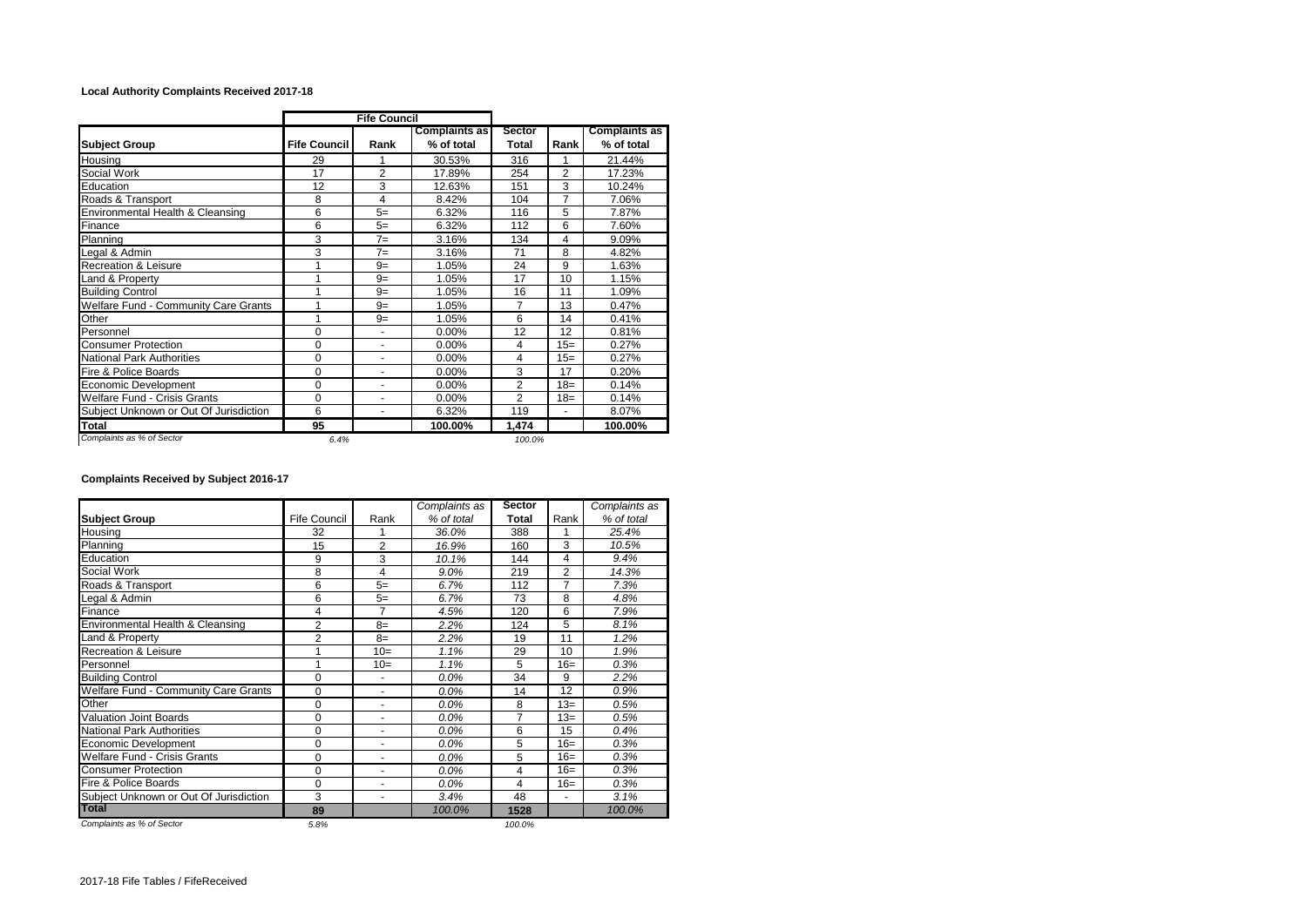## **Local Authority Complaints Received 2017-18**

|                                        |                     | <b>Fife Council</b>      |                                    |                 |                          |                                    |
|----------------------------------------|---------------------|--------------------------|------------------------------------|-----------------|--------------------------|------------------------------------|
| <b>Subject Group</b>                   | <b>Fife Council</b> | Rank                     | <b>Complaints as</b><br>% of total | Sector<br>Total | Rank                     | <b>Complaints as</b><br>% of total |
| Housing                                | 29                  | 1                        | 30.53%                             | 316             |                          | 21.44%                             |
| Social Work                            | 17                  | $\overline{2}$           | 17.89%                             | 254             | $\overline{2}$           | 17.23%                             |
|                                        |                     |                          |                                    |                 |                          |                                    |
| Education                              | 12                  | 3                        | 12.63%                             | 151             | 3                        | 10.24%                             |
| Roads & Transport                      | 8                   | 4                        | 8.42%                              | 104             | 7                        | 7.06%                              |
| Environmental Health & Cleansing       | 6                   | $5=$                     | 6.32%                              | 116             | 5                        | 7.87%                              |
| Finance                                | 6                   | $5=$                     | 6.32%                              | 112             | 6                        | 7.60%                              |
| Planning                               | 3                   | $7=$                     | 3.16%                              | 134             | 4                        | 9.09%                              |
| Legal & Admin                          | 3                   | $7=$                     | 3.16%                              | 71              | 8                        | 4.82%                              |
| <b>Recreation &amp; Leisure</b>        | 1                   | $9=$                     | 1.05%                              | 24              | 9                        | 1.63%                              |
| Land & Property                        | 1                   | $9=$                     | 1.05%                              | 17              | 10                       | 1.15%                              |
| <b>Building Control</b>                | 1                   | $9=$                     | 1.05%                              | 16              | 11                       | 1.09%                              |
| Welfare Fund - Community Care Grants   | 1                   | $9=$                     | 1.05%                              | 7               | 13                       | 0.47%                              |
| Other                                  | 1                   | $9=$                     | 1.05%                              | 6               | 14                       | 0.41%                              |
| Personnel                              | 0                   |                          | 0.00%                              | 12              | 12                       | 0.81%                              |
| <b>Consumer Protection</b>             | 0                   |                          | 0.00%                              | 4               | $15=$                    | 0.27%                              |
| <b>National Park Authorities</b>       | 0                   | $\blacksquare$           | 0.00%                              | 4               | $15=$                    | 0.27%                              |
| Fire & Police Boards                   | 0                   | ٠                        | 0.00%                              | 3               | 17                       | 0.20%                              |
| Economic Development                   | 0                   | ٠                        | 0.00%                              | $\overline{2}$  | $18=$                    | 0.14%                              |
| <b>Welfare Fund - Crisis Grants</b>    | 0                   | $\overline{\phantom{a}}$ | 0.00%                              | $\overline{2}$  | $18=$                    | 0.14%                              |
| Subject Unknown or Out Of Jurisdiction | 6                   | $\overline{\phantom{a}}$ | 6.32%                              | 119             | $\overline{\phantom{a}}$ | 8.07%                              |
| <b>Total</b>                           | 95                  |                          | 100.00%                            | 1,474           |                          | 100.00%                            |
| Complaints as % of Sector              | 6.4%                |                          |                                    | 100.0%          |                          |                                    |

## **Complaints Received by Subject 2016-17**

|                                        |                     |                          | Complaints as | <b>Sector</b> |                | Complaints as |
|----------------------------------------|---------------------|--------------------------|---------------|---------------|----------------|---------------|
| <b>Subject Group</b>                   | <b>Fife Council</b> | Rank                     | % of total    | <b>Total</b>  | Rank           | % of total    |
| Housing                                | 32                  |                          | 36.0%         | 388           |                | 25.4%         |
| Planning                               | 15                  | $\overline{2}$           | 16.9%         | 160           | 3              | 10.5%         |
| Education                              | 9                   | 3                        | 10.1%         | 144           | 4              | 9.4%          |
| Social Work                            | 8                   | 4                        | 9.0%          | 219           | 2              | 14.3%         |
| Roads & Transport                      | 6                   | $5=$                     | 6.7%          | 112           | $\overline{7}$ | 7.3%          |
| egal & Admin                           | 6                   | $5=$                     | 6.7%          | 73            | 8              | 4.8%          |
| Finance                                | 4                   | 7                        | 4.5%          | 120           | 6              | 7.9%          |
| Environmental Health & Cleansing       | $\overline{2}$      | $8=$                     | 2.2%          | 124           | 5              | 8.1%          |
| Land & Property                        | $\overline{2}$      | $8=$                     | 2.2%          | 19            | 11             | 1.2%          |
| <b>Recreation &amp; Leisure</b>        | 1                   | $10=$                    | 1.1%          | 29            | 10             | 1.9%          |
| Personnel                              | 1                   | $10=$                    | 1.1%          | 5             | $16=$          | 0.3%          |
| <b>Building Control</b>                | 0                   |                          | 0.0%          | 34            | 9              | 2.2%          |
| Welfare Fund - Community Care Grants   | 0                   | ۰                        | 0.0%          | 14            | 12             | 0.9%          |
| Other                                  | 0                   | $\overline{\phantom{a}}$ | 0.0%          | 8             | $13=$          | 0.5%          |
| <b>Valuation Joint Boards</b>          | 0                   | ٠                        | 0.0%          | 7             | $13=$          | 0.5%          |
| <b>National Park Authorities</b>       | 0                   | ٠                        | 0.0%          | 6             | 15             | 0.4%          |
| Economic Development                   | 0                   | ٠                        | 0.0%          | 5             | $16=$          | 0.3%          |
| <b>Welfare Fund - Crisis Grants</b>    | 0                   | $\blacksquare$           | 0.0%          | 5             | $16=$          | 0.3%          |
| <b>Consumer Protection</b>             | 0                   | ٠                        | 0.0%          | 4             | $16=$          | 0.3%          |
| Fire & Police Boards                   | 0                   | $\ddot{\phantom{1}}$     | 0.0%          | 4             | $16=$          | 0.3%          |
| Subject Unknown or Out Of Jurisdiction | 3                   | $\blacksquare$           | 3.4%          | 48            | $\blacksquare$ | 3.1%          |
| <b>Total</b>                           | 89                  |                          | 100.0%        | 1528          |                | 100.0%        |
| Complaints as % of Sector              | 5.8%                |                          |               | 100.0%        |                |               |